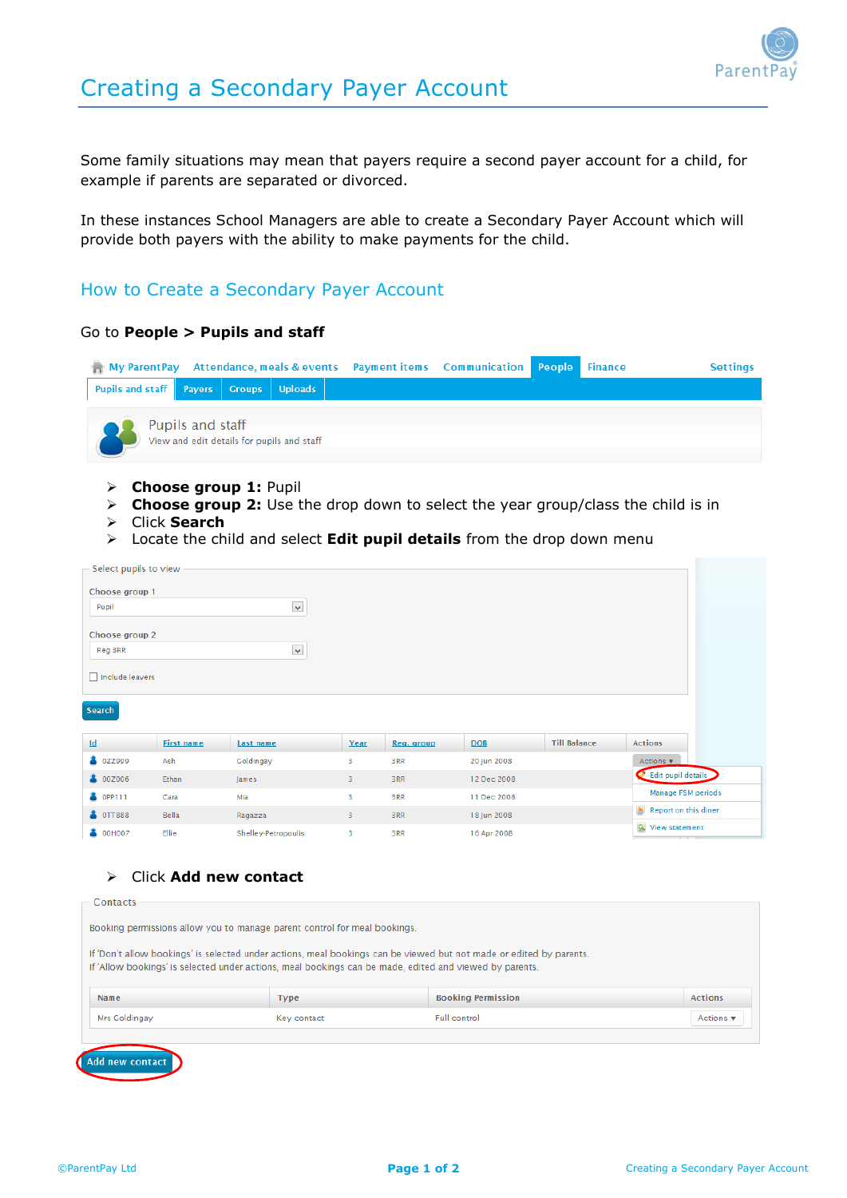

Some family situations may mean that payers require a second payer account for a child, for example if parents are separated or divorced.

In these instances School Managers are able to create a Secondary Payer Account which will provide both payers with the ability to make payments for the child.

## How to Create a Secondary Payer Account

## Go to **People > Pupils and staff**

|                                        |                  |                                            | <b>My ParentPay Attendance, meals &amp; events Payment items Communication People Finance</b> |  | <b>Settings</b> |
|----------------------------------------|------------------|--------------------------------------------|-----------------------------------------------------------------------------------------------|--|-----------------|
| Pupils and staff Payers Groups Uploads |                  |                                            |                                                                                               |  |                 |
|                                        | Pupils and staff | View and edit details for pupils and staff |                                                                                               |  |                 |

- **Choose group 1:** Pupil
- **Choose group 2:** Use the drop down to select the year group/class the child is in
- Click **Search**
- Locate the child and select **Edit pupil details** from the drop down menu

| Select pupils to view     |                   |                      |      |            |             |                     |                                        |  |
|---------------------------|-------------------|----------------------|------|------------|-------------|---------------------|----------------------------------------|--|
| Choose group 1            |                   |                      |      |            |             |                     |                                        |  |
| Pupil                     |                   | $\blacktriangledown$ |      |            |             |                     |                                        |  |
| Choose group 2            |                   |                      |      |            |             |                     |                                        |  |
| Reg 3RR                   |                   | $\checkmark$         |      |            |             |                     |                                        |  |
| Include leavers           |                   |                      |      |            |             |                     |                                        |  |
|                           |                   |                      |      |            |             |                     |                                        |  |
| Search                    |                   |                      |      |            |             |                     |                                        |  |
|                           |                   |                      |      |            |             |                     |                                        |  |
| $\underline{\mathsf{Id}}$ | <b>First name</b> | Last name            | Year | Reg. group | <b>DOB</b>  | <b>Till Balance</b> | <b>Actions</b>                         |  |
| 8<br>0ZZ999               | Ash               | Goldingay            | 3    | 3RR        | 20 Jun 2008 |                     | Actions $\mathbf{v}$                   |  |
| 8 00Z006                  | Ethan             | James                | 3    | 3RR        | 12 Dec 2008 |                     | Edit pupil details                     |  |
|                           |                   |                      |      |            |             |                     |                                        |  |
| 8<br>OPP111               | Cara              | Mia                  | 3    | 3RR        | 11 Dec 2008 |                     | Manage FSM periods                     |  |
| <b>&amp; OTT888</b>       | Bella             | Ragazza              | 3    | 3RR        | 18 Jun 2008 |                     | Report on this diner<br>View statement |  |

## Click **Add new contact**

| Contacts                                                                                                                                                                                                                       |             |                           |                                 |  |  |  |
|--------------------------------------------------------------------------------------------------------------------------------------------------------------------------------------------------------------------------------|-------------|---------------------------|---------------------------------|--|--|--|
| Booking permissions allow you to manage parent control for meal bookings.                                                                                                                                                      |             |                           |                                 |  |  |  |
| If 'Don't allow bookings' is selected under actions, meal bookings can be viewed but not made or edited by parents.<br>If 'Allow bookings' is selected under actions, meal bookings can be made, edited and viewed by parents. |             |                           |                                 |  |  |  |
| Name                                                                                                                                                                                                                           | <b>Type</b> | <b>Booking Permission</b> | <b>Actions</b>                  |  |  |  |
| Mrs Goldingay                                                                                                                                                                                                                  | Key contact | Full control              | Actions $\overline{\mathbf{v}}$ |  |  |  |
|                                                                                                                                                                                                                                |             |                           |                                 |  |  |  |
| new contact                                                                                                                                                                                                                    |             |                           |                                 |  |  |  |